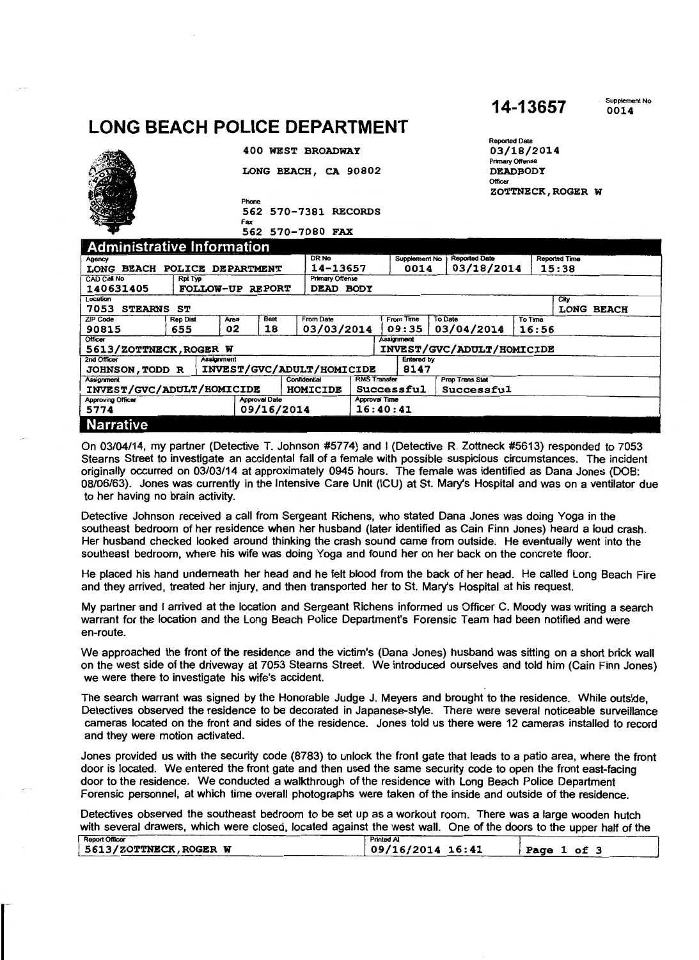## **LONG BEACH POLICE DEPARTMENT**

|                                    |                 |                  |                      |            | 400 WEST BROADWAY         |                     |                      |                | 03/18/2014<br>Primary Offense     |         |                      |            |
|------------------------------------|-----------------|------------------|----------------------|------------|---------------------------|---------------------|----------------------|----------------|-----------------------------------|---------|----------------------|------------|
|                                    |                 |                  |                      |            | LONG BEACH, CA 90802      |                     |                      |                | <b>DEADBODY</b><br><b>Officer</b> |         |                      |            |
|                                    |                 |                  | Phone                |            |                           |                     |                      |                |                                   |         | ZOTTNECK, ROGER W    |            |
|                                    |                 |                  |                      |            | 562 570-7381 RECORDS      |                     |                      |                |                                   |         |                      |            |
|                                    |                 |                  | Fax                  |            | 562 570-7080 FAX          |                     |                      |                |                                   |         |                      |            |
| <b>Administrative Information</b>  |                 |                  |                      |            |                           |                     |                      |                |                                   |         |                      |            |
| Agency                             |                 |                  |                      |            | DR <sub>No</sub>          |                     | <b>Supplement No</b> |                | <b>Reported Date</b>              |         | <b>Reported Time</b> |            |
| LONG BEACH POLICE DEPARTMENT       |                 |                  |                      |            | 14-13657                  |                     | 0014                 |                | 03/18/2014                        |         | 15:38                |            |
| <b>CAD Call No</b>                 | <b>Rpt Typ</b>  |                  |                      |            | <b>Primary Offense</b>    |                     |                      |                |                                   |         |                      |            |
| 140631405                          |                 | FOLLOW-UP REPORT |                      |            | DEAD BODY                 |                     |                      |                |                                   |         |                      |            |
| Location<br>7053<br><b>STEARNS</b> | ST              |                  |                      |            |                           |                     |                      |                |                                   |         | City                 | LONG BEACH |
| <b>ZIP Code</b>                    | <b>Rep Dist</b> | Area             |                      | Beat       | <b>From Date</b>          |                     | From Time            | <b>To Date</b> |                                   | To Time |                      |            |
| 90815                              | 655             | 02               |                      | 18         | 03/03/2014                |                     | 09:35                |                | 03/04/2014                        | 16:56   |                      |            |
| Officer                            |                 |                  |                      |            |                           |                     | <b>Assignment</b>    |                |                                   |         |                      |            |
| 5613/ZOTTNECK, ROGER W             |                 |                  |                      |            |                           |                     |                      |                | INVEST/GVC/ADULT/HOMICIDE         |         |                      |            |
| 2nd Officer                        |                 | Assignment       |                      |            |                           |                     | <b>Entered by</b>    |                |                                   |         |                      |            |
| <b>JOHNSON, TODD R</b>             |                 |                  |                      |            | INVEST/GVC/ADULT/HOMICIDE |                     | 8147                 |                |                                   |         |                      |            |
| <b>Assignment</b>                  |                 |                  |                      |            | Confidential              | <b>RMS</b> Transfer |                      |                | Prop Trans Stat                   |         |                      |            |
| INVEST/GVC/ADULT/HOMICIDE          |                 |                  |                      |            | <b>HOMICIDE</b>           |                     | Successful           |                | Successful                        |         |                      |            |
| <b>Approving Officer</b>           |                 |                  | <b>Approval Date</b> |            |                           | Approval Time       |                      |                |                                   |         |                      |            |
| 5774                               |                 |                  |                      | 09/16/2014 |                           | 16:40:41            |                      |                |                                   |         |                      |            |
| <b>Narrative</b>                   |                 |                  |                      |            |                           |                     |                      |                |                                   |         |                      |            |

**14-13657** 

. Supplement No 0014

Reported Dale

On 03/04/14, my partner (Detective T. Johnson #5774) and I (Detective R. Zottneck #5613) responded to 7053 Stearns Street to investigate an accidental fall of a female with possible suspicious circumstances. The incident originally occurred on 03/03/14 at approximately 0945 hours. The female was identified as Dana Jones (DOB: 08/06/63). Jones was currently in the Intensive Care Unit (ICU) at St. Mary's Hospital and was on a ventilator due to her having no brain activity.

Detective Johnson received a call from Sergeant Richens, who stated Dana Jones was doing Yoga in the southeast bedroom of her residence when her husband (later identified as Cain Finn Jones) heard a loud crash. Her husband checked looked around thinking the crash sound came from outside. He eventually went into the southeast bedroom, where his wife was doing Yoga and found her on her back on the concrete floor.

He placed his hand underneath her head and he felt blood from the back of her head. He called Long Beach Fire and they arrived, treated her injury, and then transported her to St. Mary's Hospital at his request.

My partner and I arrived at the location and Sergeant Richens informed us Officer C. Moody was writing a search warrant for the location and the Long Beach Police Department's Forensic Team had been notified and were en-route.

We approached the front of the residence and the victim's (Dana Jones) husband was sitting on a short brick wall on the west side of the driveway at 7053 Steams Street. We introduced ourselves and told him (Cain Finn Jones) we were there to investigate his wife's accident.

The search warrant was signed by the Honorable Judge J. Meyers and brought to the residence. While outside, Detectives observed the residence to be decorated in Japanese-style. There were several noticeable surveillance cameras located on the front and sides of the residence. Jones told us there were 12 cameras installed to record and they were motion activated.

Jones provided us with the security code (8783) to unlock the front gate that leads to a patio area, where the front door is located. We entered the front gate and then used the same security code to open the front east-facing door to the residence. We conducted a walkthrough of the residence with Long Beach Police Department Forensic personnel, at which time overall photographs were taken of the inside and outside of the residence.

Detectives observed the southeast bedroom to be set up as a workout room. There was a large wooden hutch with several drawers, which were closed, located against the west wall. One of the doors to the upper half of the

| <b>Report Officer</b>  | <b>Printed AI</b>  |            |
|------------------------|--------------------|------------|
| 5613/ZOTTNECK, ROGER W | $09/16/2014$ 16:41 | оf<br>Page |
|                        |                    |            |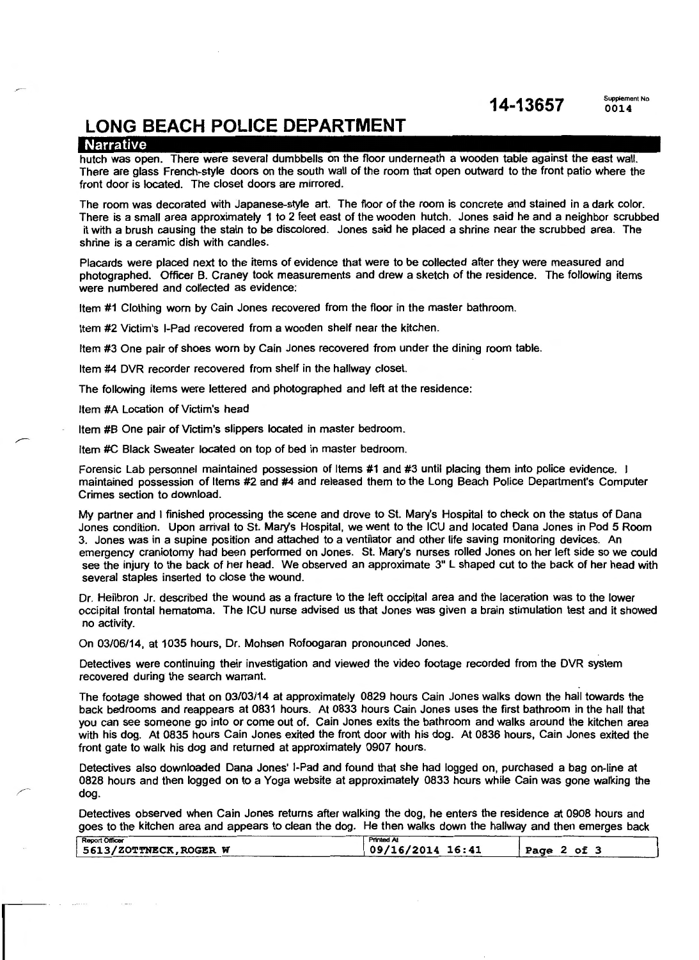**14-13657** Supplement No

**0014** 

### **LONG BEACH POLICE DEPARTMENT**

#### Narrative

hutch was open. There were several dumbbells on the floor underneath a wooden table against the east wall. There are glass French-style doors on the south wall of the room that open outward to the front patio where the front door is located. The closet doors are mirrored.

The room was decorated with Japanese-style art. The floor of the room is concrete and stained in a dark color. There is a small area approximately 1 to 2 feet east of the wooden hutch. Jones said he and a neighbor scrubbed it with a brush causing the stain to be discolored. Jones said he placed a shrine near the scrubbed area. The shrine is a ceramic dish with candles.

Placards were placed next to the items of evidence that were to be collected after they were measured and photographed. Officer B. Craney took measurements and drew a sketch of the residence. The following items were numbered and collected as evidence:

Item #1 Clothing worn by Cain Jones recovered from the floor in the master bathroom.

Item #2 Victim's I-Pad recovered from a wooden shelf near the kitchen.

Item #3 One pair of shoes worn by Cain Jones recovered from under the dining room table.

Item #4 DVR recorder recovered from shelf in the hallway closet.

The following items were lettered and photographed and left at the residence:

Item #A Location of Victim's head

Item #8 One pair of Victim's slippers located in master bedroom.

Item #C Black Sweater located on top of bed in master bedroom.

Forensic Lab personnel maintained possession of Items #1 and #3 until placing them into police evidence. I maintained possession of Items #2 and #4 and released them to the Long Beach Police Department's Computer Crimes section to download.

My partner and I finished processing the scene and drove to St. Mary's Hospital to check on the status of Dana Jones condition. Upon arrival to St. Mary's Hospital, we went to the ICU and located Dana Jones in Pod 5 Room 3. Jones was in a supine position and attached to a ventilator and other life saving monitoring devices. An emergency craniotomy had been performed on Jones. St. Mary's nurses rolled Jones on her left side so we could see the injury to the back of her head. We observed an approximate 3" L shaped cut to the back of her head with several staples inserted to close the wound.

Dr. Heilbron Jr. described the wound as a fracture to the left occipital area and the laceration was to the lower occipital frontal hematoma. The ICU nurse advised us that Jones was given a brain stimulation test and it showed no activity.

On 03/06/14, at 1035 hours, Dr. Mohsen Rofoogaran pronounced Jones.

Detectives were continuing their investigation and viewed the video footage recorded from the DVR system recovered during the search warrant.

The footage showed that on 03/03/14 at approximately 0829 hours Cain Jones walks down the hall towards the back bedrooms and reappears at 0831 hours. At 0833 hours Cain Jones uses the first bathroom in the hall that you can see someone go into or come out of. Cain Jones exits the bathroom and walks around the kitchen area with his dog. At 0835 hours Cain Jones exited the front door with his dog. At 0836 hours, Cain Jones exited the front gate to walk his dog and returned at approximately 0907 hours.

Detectives also downloaded Dana Jones' I-Pad and found that she had logged on, purchased a bag on-line at 0828 hours and then logged on to a Yoga website at approximately 0833 hours while Cain was gone walking the dog.

Detectives observed when Cain Jones returns after walking the dog, he enters the residence at 0908 hours and goes to the kitchen area and appears to clean the dog. He then walks down the hallway and then emerges back

| <b>Report Officer</b>  | <b>Printed At</b>   |             |
|------------------------|---------------------|-------------|
| 5613/ZOTTNECK, ROGER W | $109/16/2014$ 16:41 | Page 2 of 3 |
|                        |                     |             |